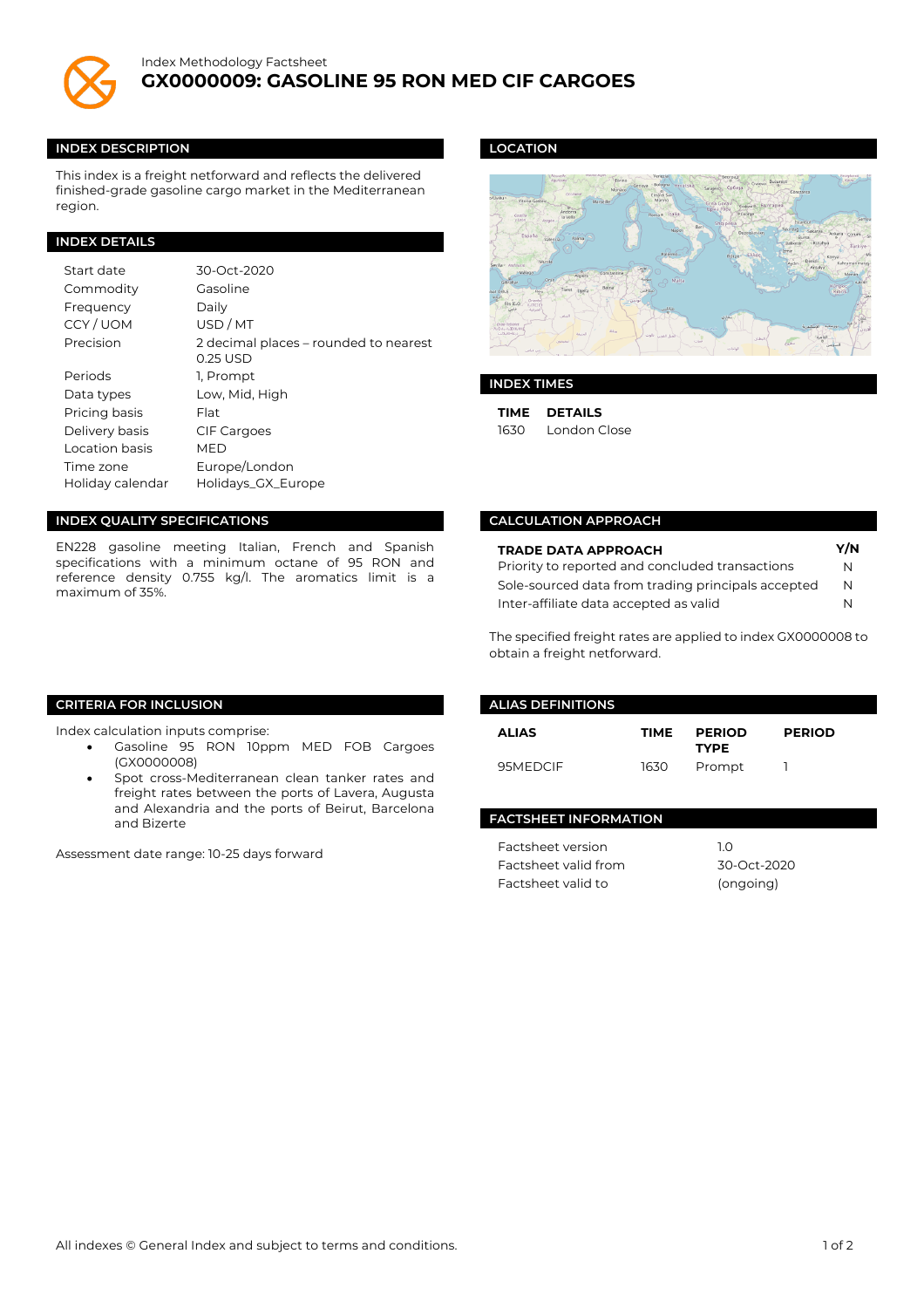

#### **INDEX DESCRIPTION**

This index is a freight netforward and reflects the delivered finished-grade gasoline cargo market in the Mediterranean region.

## **INDEX DETAILS**

| Start date       | 30-Oct-2020                                       |
|------------------|---------------------------------------------------|
| Commodity        | Gasoline                                          |
| Frequency        | Daily                                             |
| CCY/UOM          | USD/MT                                            |
| Precision        | 2 decimal places – rounded to nearest<br>0.25 USD |
| Periods          | 1. Prompt                                         |
| Data types       | Low, Mid, High                                    |
| Pricing basis    | Flat                                              |
| Delivery basis   | <b>CIF Cargoes</b>                                |
| Location basis   | MED                                               |
| Time zone        | Europe/London                                     |
| Holiday calendar | Holidays_GX_Europe                                |

## **INDEX QUALITY SPECIFICATIONS**

EN228 gasoline meeting Italian, French and Spanish specifications with a minimum octane of 95 RON and reference density 0.755 kg/l. The aromatics limit is a maximum of 35%.

## **LOCATION**



### **INDEX TIMES**

**TIME DETAILS** 1630 London Close

### **CALCULATION APPROACH**

| <b>TRADE DATA APPROACH</b>                         |   |
|----------------------------------------------------|---|
| Priority to reported and concluded transactions    | N |
| Sole-sourced data from trading principals accepted | N |
| Inter-affiliate data accepted as valid             | N |

The specified freight rates are applied to index GX0000008 to obtain a freight netforward.

## **CRITERIA FOR INCLUSION**

Index calculation inputs comprise:

- Gasoline 95 RON 10ppm MED FOB Cargoes (GX0000008)
- Spot cross-Mediterranean clean tanker rates and freight rates between the ports of Lavera, Augusta and Alexandria and the ports of Beirut, Barcelona and Bizerte

Assessment date range: 10-25 days forward

# **ALIAS DEFINITIONS ALIAS TIME PERIOD TYPE PERIOD** 95MEDCIF 1630 Prompt 1

#### **FACTSHEET INFORMATION**

Factsheet version 1.0 Factsheet valid from 30-Oct-2020 Factsheet valid to (ongoing)